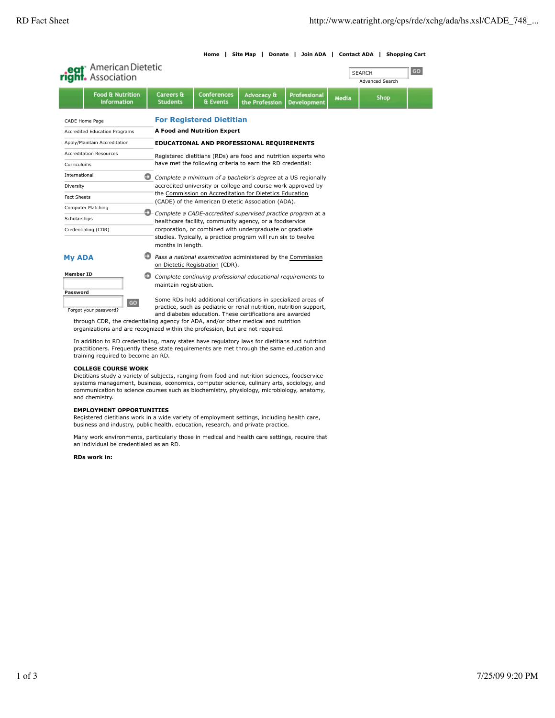$GO$ 

# **Home | Site Map | Donate | Join ADA | Contact ADA | Shopping Cart**

**SEARCH** 



|                                        | rigni. Association                                |                                                              |                                                                                                                        |                                |                                                            |                                           | <b>Advanced Search</b> |      |  |
|----------------------------------------|---------------------------------------------------|--------------------------------------------------------------|------------------------------------------------------------------------------------------------------------------------|--------------------------------|------------------------------------------------------------|-------------------------------------------|------------------------|------|--|
|                                        | <b>Food &amp; Nutrition</b><br><b>Information</b> |                                                              | <b>Careers &amp;</b><br><b>Students</b>                                                                                | <b>Conferences</b><br>& Events | Advocacy &<br>the Profession                               | <b>Professional</b><br><b>Development</b> | Media                  | Shop |  |
| CADE Home Page                         |                                                   | <b>For Registered Dietitian</b>                              |                                                                                                                        |                                |                                                            |                                           |                        |      |  |
| <b>Accredited Education Programs</b>   |                                                   |                                                              | A Food and Nutrition Expert                                                                                            |                                |                                                            |                                           |                        |      |  |
| Apply/Maintain Accreditation           |                                                   |                                                              | EDUCATIONAL AND PROFESSIONAL REQUIREMENTS                                                                              |                                |                                                            |                                           |                        |      |  |
| <b>Accreditation Resources</b>         |                                                   |                                                              | Registered dietitians (RDs) are food and nutrition experts who                                                         |                                |                                                            |                                           |                        |      |  |
| Curriculums                            |                                                   |                                                              |                                                                                                                        |                                | have met the following criteria to earn the RD credential: |                                           |                        |      |  |
| International                          |                                                   | Ð                                                            | Complete a minimum of a bachelor's degree at a US regionally                                                           |                                |                                                            |                                           |                        |      |  |
| Diversity                              |                                                   | accredited university or college and course work approved by |                                                                                                                        |                                |                                                            |                                           |                        |      |  |
| <b>Fact Sheets</b>                     |                                                   |                                                              | the Commission on Accreditation for Dietetics Education<br>(CADE) of the American Dietetic Association (ADA).          |                                |                                                            |                                           |                        |      |  |
|                                        |                                                   |                                                              |                                                                                                                        |                                |                                                            |                                           |                        |      |  |
| Computer Matching<br>Ð<br>Scholarships |                                                   |                                                              | Complete a CADE-accredited supervised practice program at a<br>healthcare facility, community agency, or a foodservice |                                |                                                            |                                           |                        |      |  |
| Credentialing (CDR)                    |                                                   | corporation, or combined with undergraduate or graduate      |                                                                                                                        |                                |                                                            |                                           |                        |      |  |
|                                        |                                                   |                                                              | studies. Typically, a practice program will run six to twelve<br>months in length.                                     |                                |                                                            |                                           |                        |      |  |
| <b>My ADA</b>                          |                                                   |                                                              | Pass a national examination administered by the Commission<br>on Dietetic Registration (CDR).                          |                                |                                                            |                                           |                        |      |  |
| <b>Member ID</b>                       |                                                   |                                                              | Complete continuing professional educational requirements to<br>maintain registration.                                 |                                |                                                            |                                           |                        |      |  |

**Password GO** Forgot your password?

Some RDs hold additional certifications in specialized areas of practice, such as pediatric or renal nutrition, nutrition support, and diabetes education. These certifications are awarded

through CDR, the credentialing agency for ADA, and/or other medical and nutrition organizations and are recognized within the profession, but are not required.

In addition to RD credentialing, many states have regulatory laws for dietitians and nutrition practitioners. Frequently these state requirements are met through the same education and training required to become an RD.

# **COLLEGE COURSE WORK**

Dietitians study a variety of subjects, ranging from food and nutrition sciences, foodservice systems management, business, economics, computer science, culinary arts, sociology, and communication to science courses such as biochemistry, physiology, microbiology, anatomy, and chemistry.

#### **EMPLOYMENT OPPORTUNITIES**

Registered dietitians work in a wide variety of employment settings, including health care, business and industry, public health, education, research, and private practice.

Many work environments, particularly those in medical and health care settings, require that an individual be credentialed as an RD.

#### **RDs work in:**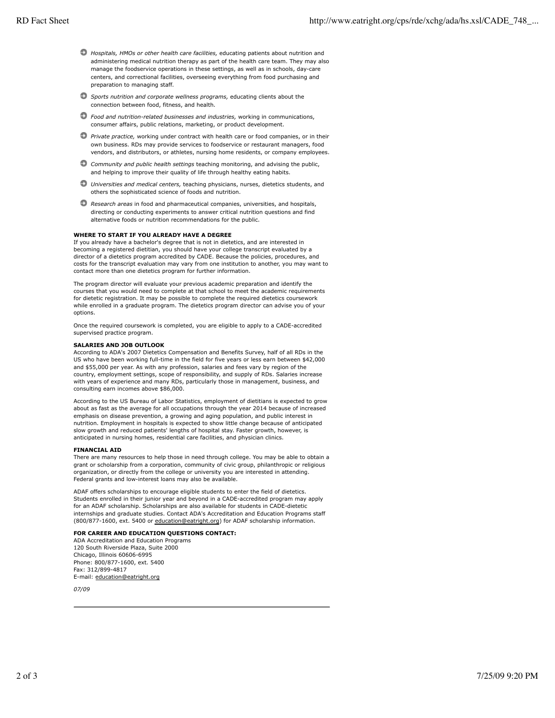- *Hospitals, HMOs or other health care facilities,* educating patients about nutrition and administering medical nutrition therapy as part of the health care team. They may also manage the foodservice operations in these settings, as well as in schools, day-care centers, and correctional facilities, overseeing everything from food purchasing and preparation to managing staff.
- *Sports nutrition and corporate wellness programs,* educating clients about the connection between food, fitness, and health.
- *Food and nutrition-related businesses and industries,* working in communications, consumer affairs, public relations, marketing, or product development.
- *Private practice,* working under contract with health care or food companies, or in their own business. RDs may provide services to foodservice or restaurant managers, food vendors, and distributors, or athletes, nursing home residents, or company employees.
- *Community and public health settings* teaching monitoring, and advising the public, and helping to improve their quality of life through healthy eating habits.
- *Universities and medical centers,* teaching physicians, nurses, dietetics students, and others the sophisticated science of foods and nutrition.
- *Research areas* in food and pharmaceutical companies, universities, and hospitals, directing or conducting experiments to answer critical nutrition questions and find alternative foods or nutrition recommendations for the public.

### **WHERE TO START IF YOU ALREADY HAVE A DEGREE**

If you already have a bachelor's degree that is not in dietetics, and are interested in becoming a registered dietitian, you should have your college transcript evaluated by a director of a dietetics program accredited by CADE. Because the policies, procedures, and costs for the transcript evaluation may vary from one institution to another, you may want to contact more than one dietetics program for further information.

The program director will evaluate your previous academic preparation and identify the courses that you would need to complete at that school to meet the academic requirements for dietetic registration. It may be possible to complete the required dietetics coursework while enrolled in a graduate program. The dietetics program director can advise you of your options.

Once the required coursework is completed, you are eligible to apply to a CADE-accredited supervised practice program.

#### **SALARIES AND JOB OUTLOOK**

According to ADA's 2007 Dietetics Compensation and Benefits Survey, half of all RDs in the US who have been working full-time in the field for five years or less earn between \$42,000 and \$55,000 per year. As with any profession, salaries and fees vary by region of the country, employment settings, scope of responsibility, and supply of RDs. Salaries increase with years of experience and many RDs, particularly those in management, business, and consulting earn incomes above \$86,000.

According to the US Bureau of Labor Statistics, employment of dietitians is expected to grow about as fast as the average for all occupations through the year 2014 because of increased emphasis on disease prevention, a growing and aging population, and public interest in nutrition. Employment in hospitals is expected to show little change because of anticipated slow growth and reduced patients' lengths of hospital stay. Faster growth, however, is anticipated in nursing homes, residential care facilities, and physician clinics.

#### **FINANCIAL AID**

There are many resources to help those in need through college. You may be able to obtain a grant or scholarship from a corporation, community of civic group, philanthropic or religious organization, or directly from the college or university you are interested in attending. Federal grants and low-interest loans may also be available.

ADAF offers scholarships to encourage eligible students to enter the field of dietetics. Students enrolled in their junior year and beyond in a CADE-accredited program may apply for an ADAF scholarship. Scholarships are also available for students in CADE-dietetic internships and graduate studies. Contact ADA's Accreditation and Education Programs staff (800/877-1600, ext. 5400 or education@eatright.org) for ADAF scholarship information.

# **FOR CAREER AND EDUCATION QUESTIONS CONTACT:**

ADA Accreditation and Education Programs 120 South Riverside Plaza, Suite 2000 Chicago, Illinois 60606-6995 Phone: 800/877-1600, ext. 5400 Fax: 312/899-4817 E-mail: education@eatright.org

*07/09*